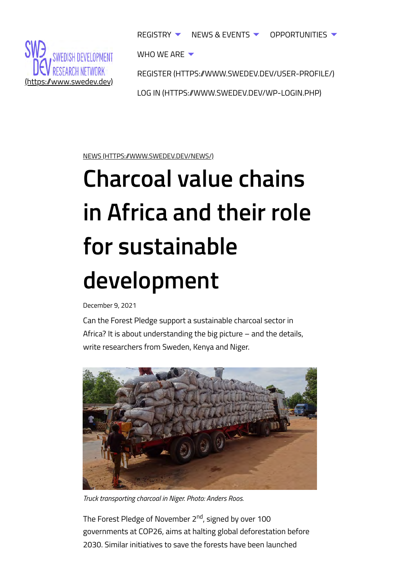<span id="page-0-0"></span>

[REGISTER \(HTTPS://WWW.SWEDEV.DEV/USER-PROFILE/\)](https://www.swedev.dev/user-profile/) REGISTRY  $\blacktriangledown$  [NEWS & EVENTS](#page-0-0)  $\blacktriangledown$  [OPPORTUNITIES](#page-0-0)  $\blacktriangledown$ [WHO WE ARE](#page-0-0)  $\blacktriangledown$ 

[LOG IN \(HTTPS://WWW.SWEDEV.DEV/WP-LOGIN.PHP\)](https://www.swedev.dev/wp-login.php)

[NEWS \(HTTPS://WWW.SWEDEV.DEV/NEWS/\)](https://www.swedev.dev/news/)

## **Charcoal value chains in Africa and their role for sustainable development**

December 9, 2021

Can the Forest Pledge support a sustainable charcoal sector in Africa? It is about understanding the big picture – and the details, write researchers from Sweden, Kenya and Niger.



*Truck transporting charcoal in Niger. Photo: Anders Roos.*

The Forest Pledge of November 2<sup>nd</sup>, signed by over 100 governments at COP26, aims at halting global deforestation before 2030. Similar initiatives to save the forests have been launched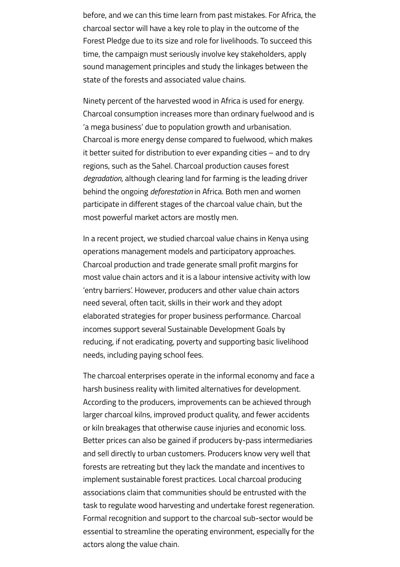before, and we can this time learn from past mistakes. For Africa, the charcoal sector will have a key role to play in the outcome of the Forest Pledge due to its size and role for livelihoods. To succeed this time, the campaign must seriously involve key stakeholders, apply sound management principles and study the linkages between the state of the forests and associated value chains.

Ninety percent of the harvested wood in Africa is used for energy. Charcoal consumption increases more than ordinary fuelwood and is 'a mega business' due to population growth and urbanisation. Charcoal is more energy dense compared to fuelwood, which makes it better suited for distribution to ever expanding cities – and to dry regions, such as the Sahel. Charcoal production causes forest *degradation*, although clearing land for farming is the leading driver behind the ongoing *deforestation* in Africa. Both men and women participate in different stages of the charcoal value chain, but the most powerful market actors are mostly men.

In a recent project, we studied charcoal value chains in Kenya using operations management models and participatory approaches. Charcoal production and trade generate small profit margins for most value chain actors and it is a labour intensive activity with low 'entry barriers'. However, producers and other value chain actors need several, often tacit, skills in their work and they adopt elaborated strategies for proper business performance. Charcoal incomes support several Sustainable Development Goals by reducing, if not eradicating, poverty and supporting basic livelihood needs, including paying school fees.

The charcoal enterprises operate in the informal economy and face a harsh business reality with limited alternatives for development. According to the producers, improvements can be achieved through larger charcoal kilns, improved product quality, and fewer accidents or kiln breakages that otherwise cause injuries and economic loss. Better prices can also be gained if producers by-pass intermediaries and sell directly to urban customers. Producers know very well that forests are retreating but they lack the mandate and incentives to implement sustainable forest practices. Local charcoal producing associations claim that communities should be entrusted with the task to regulate wood harvesting and undertake forest regeneration. Formal recognition and support to the charcoal sub-sector would be essential to streamline the operating environment, especially for the actors along the value chain.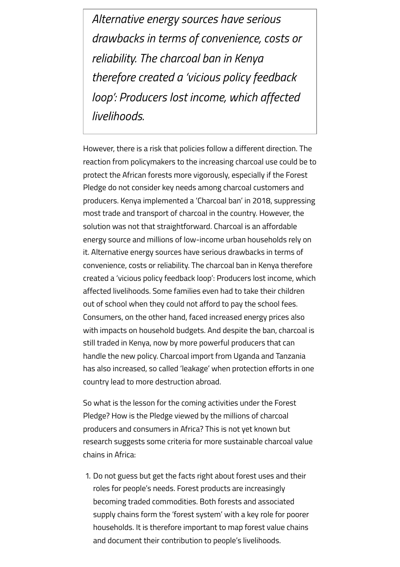*Alternative energy sources have serious drawbacks in terms of convenience, costs or reliability. The charcoal ban in Kenya therefore created a 'vicious policy feedback loop': Producers lost income, which affected livelihoods.*

However, there is a risk that policies follow a different direction. The reaction from policymakers to the increasing charcoal use could be to protect the African forests more vigorously, especially if the Forest Pledge do not consider key needs among charcoal customers and producers. Kenya implemented a 'Charcoal ban' in 2018, suppressing most trade and transport of charcoal in the country. However, the solution was not that straightforward. Charcoal is an affordable energy source and millions of low-income urban households rely on it. Alternative energy sources have serious drawbacks in terms of convenience, costs or reliability. The charcoal ban in Kenya therefore created a 'vicious policy feedback loop': Producers lost income, which affected livelihoods. Some families even had to take their children out of school when they could not afford to pay the school fees. Consumers, on the other hand, faced increased energy prices also with impacts on household budgets. And despite the ban, charcoal is still traded in Kenya, now by more powerful producers that can handle the new policy. Charcoal import from Uganda and Tanzania has also increased, so called 'leakage' when protection efforts in one country lead to more destruction abroad.

So what is the lesson for the coming activities under the Forest Pledge? How is the Pledge viewed by the millions of charcoal producers and consumers in Africa? This is not yet known but research suggests some criteria for more sustainable charcoal value chains in Africa:

1. Do not guess but get the facts right about forest uses and their roles for people's needs. Forest products are increasingly becoming traded commodities. Both forests and associated supply chains form the 'forest system' with a key role for poorer households. It is therefore important to map forest value chains and document their contribution to people's livelihoods.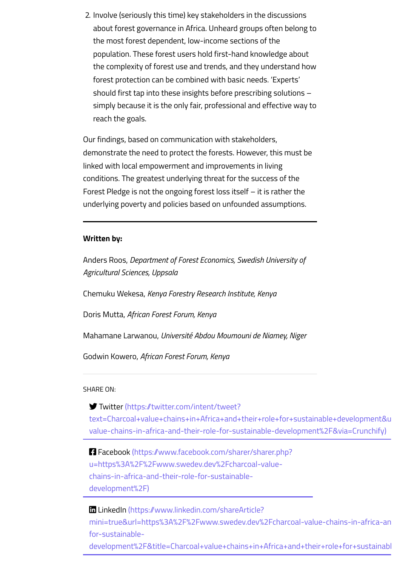2. Involve (seriously this time) key stakeholders in the discussions about forest governance in Africa. Unheard groups often belong to the most forest dependent, low-income sections of the population. These forest users hold first-hand knowledge about the complexity of forest use and trends, and they understand how forest protection can be combined with basic needs. 'Experts' should first tap into these insights before prescribing solutions – simply because it is the only fair, professional and effective way to reach the goals.

Our findings, based on communication with stakeholders, demonstrate the need to protect the forests. However, this must be linked with local empowerment and improvements in living conditions. The greatest underlying threat for the success of the Forest Pledge is not the ongoing forest loss itself – it is rather the underlying poverty and policies based on unfounded assumptions.

## **Written by:**

Anders Roos, *Department of Forest Economics, Swedish University of Agricultural Sciences, Uppsala*

Chemuku Wekesa, *Kenya Forestry Research Institute, Kenya*

Doris Mutta, *African Forest Forum, Kenya*

Mahamane Larwanou, *Université Abdou Moumouni de Niamey, Niger*

Godwin Kowero, *African Forest Forum, Kenya*

SHARE ON:

 Twitter (https://twitter.com/intent/tweet? [text=Charcoal+value+chains+in+Africa+and+their+role+for+sustainable+development&u](https://twitter.com/intent/tweet?text=Charcoal+value+chains+in+Africa+and+their+role+for+sustainable+development&url=https%3A%2F%2Fwww.swedev.dev%2Fcharcoal-value-chains-in-africa-and-their-role-for-sustainable-development%2F&via=Crunchify) value-chains-in-africa-and-their-role-for-sustainable-development%2F&via=Crunchify)

 [Facebook \(https://www.facebook.com/sharer/sharer.php?](https://www.facebook.com/sharer/sharer.php?u=https%3A%2F%2Fwww.swedev.dev%2Fcharcoal-value-chains-in-africa-and-their-role-for-sustainable-development%2F) u=https%3A%2F%2Fwww.swedev.dev%2Fcharcoal-valuechains-in-africa-and-their-role-for-sustainabledevelopment%2F)

**LinkedIn (https://www.linkedin.com/shareArticle?** mini=true&url=https%3A%2F%2Fwww.swedev.dev%2Fcharcoal-value-chains-in-africa-an for-sustainable[development%2F&title=Charcoal+value+chains+in+Africa+and+their+role+for+sustainabl](https://www.linkedin.com/shareArticle?mini=true&url=https%3A%2F%2Fwww.swedev.dev%2Fcharcoal-value-chains-in-africa-and-their-role-for-sustainable-development%2F&title=Charcoal+value+chains+in+Africa+and+their+role+for+sustainable+development)